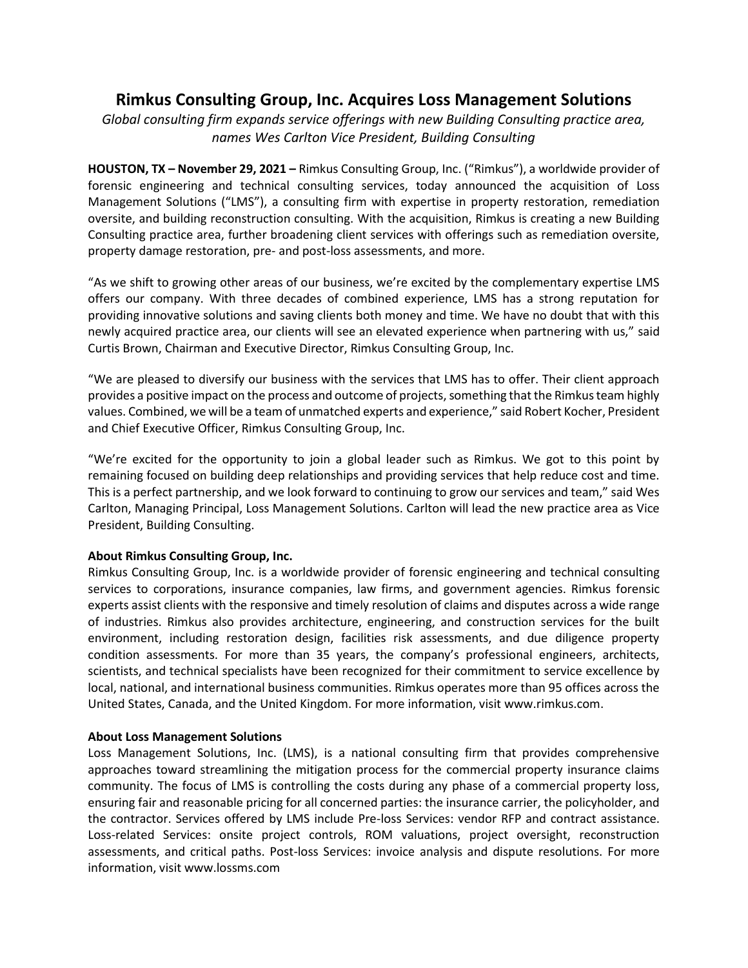## **Rimkus Consulting Group, Inc. Acquires Loss Management Solutions**

*Global consulting firm expands service offerings with new Building Consulting practice area, names Wes Carlton Vice President, Building Consulting*

**HOUSTON, TX – November 29, 2021 –** Rimkus Consulting Group, Inc. ("Rimkus"), a worldwide provider of forensic engineering and technical consulting services, today announced the acquisition of Loss Management Solutions ("LMS"), a consulting firm with expertise in property restoration, remediation oversite, and building reconstruction consulting. With the acquisition, Rimkus is creating a new Building Consulting practice area, further broadening client services with offerings such as remediation oversite, property damage restoration, pre- and post-loss assessments, and more.

"As we shift to growing other areas of our business, we're excited by the complementary expertise LMS offers our company. With three decades of combined experience, LMS has a strong reputation for providing innovative solutions and saving clients both money and time. We have no doubt that with this newly acquired practice area, our clients will see an elevated experience when partnering with us," said Curtis Brown, Chairman and Executive Director, Rimkus Consulting Group, Inc.

"We are pleased to diversify our business with the services that LMS has to offer. Their client approach provides a positive impact on the process and outcome of projects, something that the Rimkus team highly values. Combined, we will be a team of unmatched experts and experience," said Robert Kocher, President and Chief Executive Officer, Rimkus Consulting Group, Inc.

"We're excited for the opportunity to join a global leader such as Rimkus. We got to this point by remaining focused on building deep relationships and providing services that help reduce cost and time. This is a perfect partnership, and we look forward to continuing to grow our services and team," said Wes Carlton, Managing Principal, Loss Management Solutions. Carlton will lead the new practice area as Vice President, Building Consulting.

## **About Rimkus Consulting Group, Inc.**

Rimkus Consulting Group, Inc. is a worldwide provider of forensic engineering and technical consulting services to corporations, insurance companies, law firms, and government agencies. Rimkus forensic experts assist clients with the responsive and timely resolution of claims and disputes across a wide range of industries. Rimkus also provides architecture, engineering, and construction services for the built environment, including restoration design, facilities risk assessments, and due diligence property condition assessments. For more than 35 years, the company's professional engineers, architects, scientists, and technical specialists have been recognized for their commitment to service excellence by local, national, and international business communities. Rimkus operates more than 95 offices across the United States, Canada, and the United Kingdom. For more information, visit www.rimkus.com.

## **About Loss Management Solutions**

Loss Management Solutions, Inc. (LMS), is a national consulting firm that provides comprehensive approaches toward streamlining the mitigation process for the commercial property insurance claims community. The focus of LMS is controlling the costs during any phase of a commercial property loss, ensuring fair and reasonable pricing for all concerned parties: the insurance carrier, the policyholder, and the contractor. Services offered by LMS include Pre-loss Services: vendor RFP and contract assistance. Loss-related Services: onsite project controls, ROM valuations, project oversight, reconstruction assessments, and critical paths. Post-loss Services: invoice analysis and dispute resolutions. For more information, visit www.lossms.com